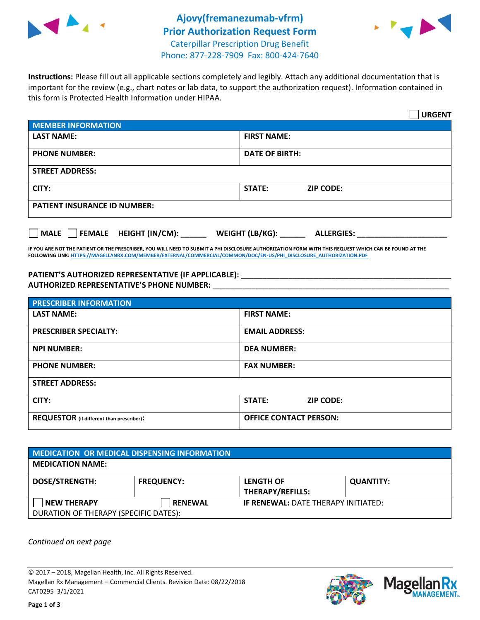



**Instructions:** Please fill out all applicable sections completely and legibly. Attach any additional documentation that is important for the review (e.g., chart notes or lab data, to support the authorization request). Information contained in this form is Protected Health Information under HIPAA.

|                                       | <b>URGENT</b>                        |  |  |  |
|---------------------------------------|--------------------------------------|--|--|--|
| <b>MEMBER INFORMATION</b>             |                                      |  |  |  |
| <b>LAST NAME:</b>                     | <b>FIRST NAME:</b>                   |  |  |  |
| <b>PHONE NUMBER:</b>                  | <b>DATE OF BIRTH:</b>                |  |  |  |
| <b>STREET ADDRESS:</b>                |                                      |  |  |  |
| CITY:                                 | <b>ZIP CODE:</b><br>STATE:           |  |  |  |
| <b>PATIENT INSURANCE ID NUMBER:</b>   |                                      |  |  |  |
| FEMALE HEIGHT (IN/CM):<br><b>MALE</b> | WEIGHT (LB/KG):<br><b>ALLERGIES:</b> |  |  |  |

**IF YOU ARE NOT THE PATIENT OR THE PRESCRIBER, YOU WILL NEED TO SUBMIT A PHI DISCLOSURE AUTHORIZATION FORM WITH THIS REQUEST WHICH CAN BE FOUND AT THE FOLLOWING LINK[: HTTPS://MAGELLANRX.COM/MEMBER/EXTERNAL/COMMERCIAL/COMMON/DOC/EN-US/PHI\\_DISCLOSURE\\_AUTHORIZATION.PDF](https://magellanrx.com/member/external/commercial/common/doc/en-us/PHI_Disclosure_Authorization.pdf)**

PATIENT'S AUTHORIZED REPRESENTATIVE (IF APPLICABLE): \_\_\_\_\_\_\_\_\_\_\_\_\_\_\_\_\_\_\_\_\_\_\_\_\_\_\_ **AUTHORIZED REPRESENTATIVE'S PHONE NUMBER:** \_\_\_\_\_\_\_\_\_\_\_\_\_\_\_\_\_\_\_\_\_\_\_\_\_\_\_\_\_\_\_\_\_\_\_\_\_\_\_\_\_\_\_\_\_\_\_\_\_\_\_\_\_\_\_

| <b>PRESCRIBER INFORMATION</b>             |                               |  |  |  |
|-------------------------------------------|-------------------------------|--|--|--|
| <b>LAST NAME:</b>                         | <b>FIRST NAME:</b>            |  |  |  |
| <b>PRESCRIBER SPECIALTY:</b>              | <b>EMAIL ADDRESS:</b>         |  |  |  |
| <b>NPI NUMBER:</b>                        | <b>DEA NUMBER:</b>            |  |  |  |
| <b>PHONE NUMBER:</b>                      | <b>FAX NUMBER:</b>            |  |  |  |
| <b>STREET ADDRESS:</b>                    |                               |  |  |  |
| CITY:                                     | STATE:<br><b>ZIP CODE:</b>    |  |  |  |
| REQUESTOR (if different than prescriber): | <b>OFFICE CONTACT PERSON:</b> |  |  |  |

| <b>MEDICATION OR MEDICAL DISPENSING INFORMATION</b> |                   |                                            |                  |  |  |
|-----------------------------------------------------|-------------------|--------------------------------------------|------------------|--|--|
| <b>MEDICATION NAME:</b>                             |                   |                                            |                  |  |  |
| <b>DOSE/STRENGTH:</b>                               | <b>FREQUENCY:</b> | <b>LENGTH OF</b>                           | <b>QUANTITY:</b> |  |  |
|                                                     |                   | <b>THERAPY/REFILLS:</b>                    |                  |  |  |
| NEW THERAPY                                         | <b>RENEWAL</b>    | <b>IF RENEWAL: DATE THERAPY INITIATED:</b> |                  |  |  |
| DURATION OF THERAPY (SPECIFIC DATES):               |                   |                                            |                  |  |  |

*Continued on next page*

© 2017 – 2018, Magellan Health, Inc. All Rights Reserved. Magellan Rx Management – Commercial Clients. Revision Date: 08/22/2018 CAT0295 3/1/2021



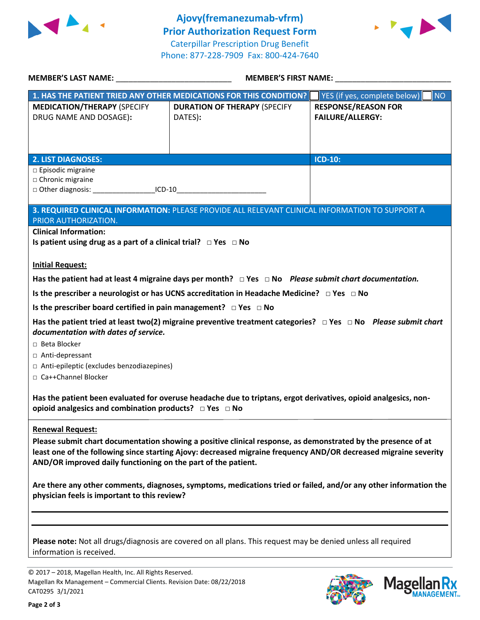



| MEMBER'S LAST NAME: NAME: NAME AND A SERIES OF THE SERIES OF THE SERIES OF THE SERIES OF THE SERIES OF THE SERIES OF THE SERIES OF THE SERIES OF THE SERIES OF THE SERIES OF THE SERIES OF THE SERIES OF THE SERIES OF THE SER                                                                                                | <b>MEMBER'S FIRST NAME:</b>                                                                                     |                                                       |  |  |
|-------------------------------------------------------------------------------------------------------------------------------------------------------------------------------------------------------------------------------------------------------------------------------------------------------------------------------|-----------------------------------------------------------------------------------------------------------------|-------------------------------------------------------|--|--|
|                                                                                                                                                                                                                                                                                                                               | 1. HAS THE PATIENT TRIED ANY OTHER MEDICATIONS FOR THIS CONDITION?                                              | YES (if yes, complete below)<br><b>NO</b>             |  |  |
| <b>MEDICATION/THERAPY (SPECIFY</b><br>DRUG NAME AND DOSAGE):                                                                                                                                                                                                                                                                  | <b>DURATION OF THERAPY (SPECIFY</b><br>DATES):                                                                  | <b>RESPONSE/REASON FOR</b><br><b>FAILURE/ALLERGY:</b> |  |  |
| <b>2. LIST DIAGNOSES:</b>                                                                                                                                                                                                                                                                                                     |                                                                                                                 | <b>ICD-10:</b>                                        |  |  |
| $\square$ Episodic migraine<br>□ Chronic migraine<br>□ Other diagnosis: ________________________ICD-10______________________________                                                                                                                                                                                          |                                                                                                                 |                                                       |  |  |
| PRIOR AUTHORIZATION.                                                                                                                                                                                                                                                                                                          | 3. REQUIRED CLINICAL INFORMATION: PLEASE PROVIDE ALL RELEVANT CLINICAL INFORMATION TO SUPPORT A                 |                                                       |  |  |
| <b>Clinical Information:</b><br>Is patient using drug as a part of a clinical trial? $\Box$ Yes $\Box$ No                                                                                                                                                                                                                     |                                                                                                                 |                                                       |  |  |
| <b>Initial Request:</b>                                                                                                                                                                                                                                                                                                       |                                                                                                                 |                                                       |  |  |
|                                                                                                                                                                                                                                                                                                                               | Has the patient had at least 4 migraine days per month? $\Box$ Yes $\Box$ No Please submit chart documentation. |                                                       |  |  |
|                                                                                                                                                                                                                                                                                                                               | Is the prescriber a neurologist or has UCNS accreditation in Headache Medicine? $\Box$ Yes $\Box$ No            |                                                       |  |  |
| Is the prescriber board certified in pain management? $\Box$ Yes $\Box$ No                                                                                                                                                                                                                                                    |                                                                                                                 |                                                       |  |  |
| Has the patient tried at least two(2) migraine preventive treatment categories? $\Box$ Yes $\Box$ No Please submit chart<br>documentation with dates of service.<br>□ Beta Blocker<br>□ Anti-depressant<br>□ Anti-epileptic (excludes benzodiazepines)<br>□ Ca++Channel Blocker                                               |                                                                                                                 |                                                       |  |  |
| Has the patient been evaluated for overuse headache due to triptans, ergot derivatives, opioid analgesics, non-<br>opioid analgesics and combination products? $\Box$ Yes $\Box$ No                                                                                                                                           |                                                                                                                 |                                                       |  |  |
| <b>Renewal Request:</b><br>Please submit chart documentation showing a positive clinical response, as demonstrated by the presence of at<br>least one of the following since starting Ajovy: decreased migraine frequency AND/OR decreased migraine severity<br>AND/OR improved daily functioning on the part of the patient. |                                                                                                                 |                                                       |  |  |
| Are there any other comments, diagnoses, symptoms, medications tried or failed, and/or any other information the<br>physician feels is important to this review?                                                                                                                                                              |                                                                                                                 |                                                       |  |  |
| Please note: Not all drugs/diagnosis are covered on all plans. This request may be denied unless all required                                                                                                                                                                                                                 |                                                                                                                 |                                                       |  |  |

information is received.

© 2017 – 2018, Magellan Health, Inc. All Rights Reserved. Magellan Rx Management – Commercial Clients. Revision Date: 08/22/2018 CAT0295 3/1/2021